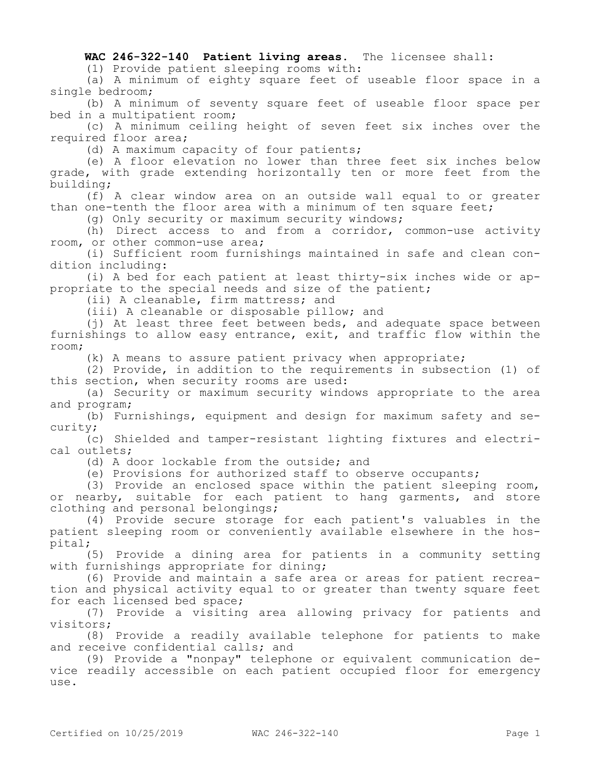## **WAC 246-322-140 Patient living areas.** The licensee shall:

(1) Provide patient sleeping rooms with:

(a) A minimum of eighty square feet of useable floor space in a single bedroom;

(b) A minimum of seventy square feet of useable floor space per bed in a multipatient room;

(c) A minimum ceiling height of seven feet six inches over the required floor area;

(d) A maximum capacity of four patients;

(e) A floor elevation no lower than three feet six inches below grade, with grade extending horizontally ten or more feet from the building;

(f) A clear window area on an outside wall equal to or greater than one-tenth the floor area with a minimum of ten square feet;

(g) Only security or maximum security windows;

(h) Direct access to and from a corridor, common-use activity room, or other common-use area;

(i) Sufficient room furnishings maintained in safe and clean condition including:

(i) A bed for each patient at least thirty-six inches wide or appropriate to the special needs and size of the patient;

(ii) A cleanable, firm mattress; and

(iii) A cleanable or disposable pillow; and

(j) At least three feet between beds, and adequate space between furnishings to allow easy entrance, exit, and traffic flow within the room;

(k) A means to assure patient privacy when appropriate;

(2) Provide, in addition to the requirements in subsection (1) of this section, when security rooms are used:

(a) Security or maximum security windows appropriate to the area and program;

(b) Furnishings, equipment and design for maximum safety and security;

(c) Shielded and tamper-resistant lighting fixtures and electrical outlets;

(d) A door lockable from the outside; and

(e) Provisions for authorized staff to observe occupants;

(3) Provide an enclosed space within the patient sleeping room, or nearby, suitable for each patient to hang garments, and store clothing and personal belongings;

(4) Provide secure storage for each patient's valuables in the patient sleeping room or conveniently available elsewhere in the hospital;

(5) Provide a dining area for patients in a community setting with furnishings appropriate for dining;

(6) Provide and maintain a safe area or areas for patient recreation and physical activity equal to or greater than twenty square feet for each licensed bed space;

(7) Provide a visiting area allowing privacy for patients and visitors;

(8) Provide a readily available telephone for patients to make and receive confidential calls; and

(9) Provide a "nonpay" telephone or equivalent communication device readily accessible on each patient occupied floor for emergency use.